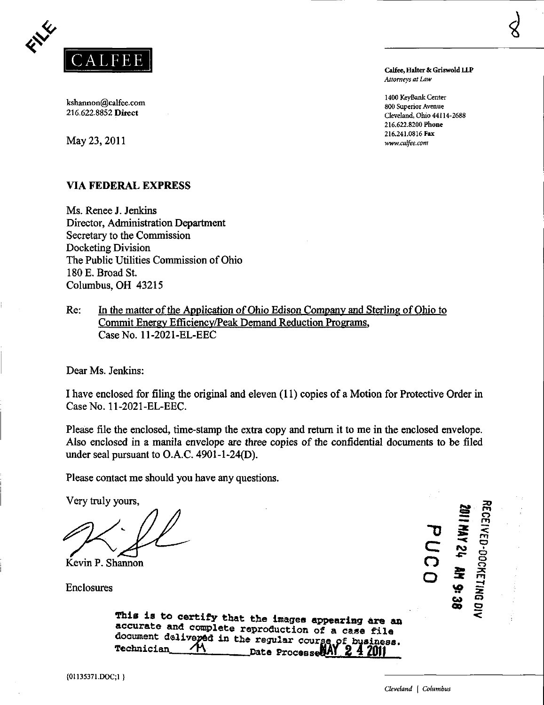

kshannon@calfee.com  $^{800}$  Superior Avenue  $^{800}$  Superior Avenue  $^{800}$  Superior Avenue  $^{800}$  Superior Avenue  $^{800}$  Superior Avenue  $^{800}$  Superior Avenue  $^{800}$  Superior Avenue  $^{800}$  Superior Avenue  $^{800}$  Su

 $\text{May } 23, 2011$  [www.calfee.com](http://www.calfee.com)

# VIA FEDERAL EXPRESS

Ms. Renee J. Jenkins Director, Administration Department Secretary to the Commission Docketing Division The Public Utilities Commission of Ohio 180 E. Broad St. Columbus, OH 43215

Re: In the matter of the Application of Ohio Edison Company and Sterling of Ohio to Commit Energv Efficiency/Peak Demand Reduction Programs, CaseNo. 11-2021-EL-EEC

Dear Ms. Jenkins:

I have enclosed for filing the original and eleven (11) copies of a Motion for Protective Order in CaseNo. 11-2021-EL-EEC.

Please file the enclosed, time-stamp the extra copy and return it to me in the enclosed envelope. Also enclosed in a manila envelope are three copies of the confidential documents to be filed under seal pursuant to O.A.C. 4901-1-24(D).

Please contact me should you have any questions.

Very truly yours,

Kevin P. Shannon

Enclosures

 $\mathbf{\sigma}$ C o ^ E<br>NMY  $\tilde{r}$ a ta dhekara ta dhekara ta dhekara ta dhekara ta dhekara ta ta dhekara ta dhekara ta dhekara ta thekara ta dhek<br>Dhekara ta dhekara ta dhekara ta dhekara ta dhekara ta gamala ta dhekara ta dhekara ta dhekara ta dhekara ta d W  $\tilde{\mathbf{z}}$ p - Day o :x m —1 • x o

20 EGEN

o»

is<br>  $\tilde{z}$ 

This is to certify that the images appearing are an accurate and complete reproduction of a case file document d®live»6d in the regular courge of business.

Technician M Date ProcesseBAY 2 4 2011

Calfee, Halter & Griswold LLP Attorneys at Law

 $\begin{array}{c} \text{1400 KeyBank Center} \\ \text{800 Comparison of the image is a 1400 KeyBank Center} \end{array}$ Cleveland, Ohio 44114-2688 216.622.8200 Phone 216.241.0816 Fax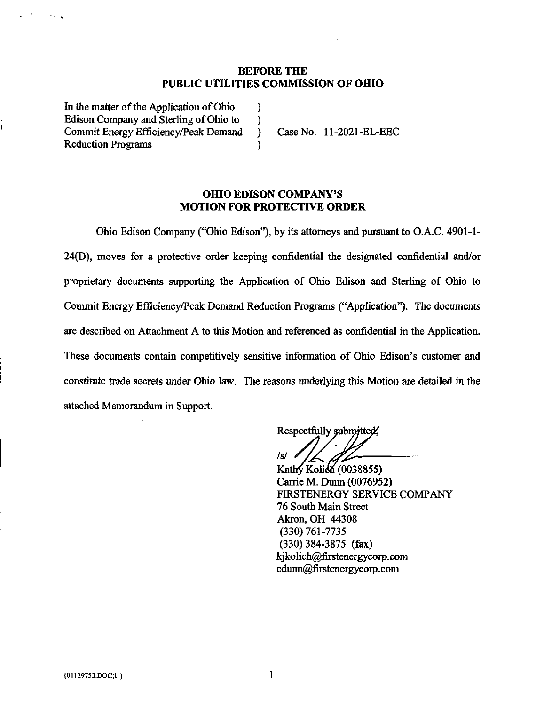### BEFORE THE PUBLIC UTILITIES COMMISSION OF OHIO

In the matter of the Application of Ohio ) Edison Company and Sterling of Ohio to ) Commit Energy Efficiency/Peak Demand ) Case No. 11-2021-EL-EEC Reduction Programs )

经费

in teleng

### OHIO EDISON COMPANY'S MOTION FOR PROTECTIVE ORDER

Ohio Edison Company ("Ohio Edison"), by its attorneys and pursuant to O.A.C. 4901-1- 24(D), moves for a protective order keeping confidential the designated confidential and/or proprietary documents supporting the Application of Ohio Edison and Sterling of Ohio to Commit Energy Efficiency/Peak Demand Reduction Programs ("Application"). The documents are described on Attachment A to this Motion and referenced as confidential in the Application. These documents contain competitively sensitive information of Ohio Edison's customer and constitute trade secrets under Ohio law. The reasons underlying this Motion are detailed in the attached Memorandum in Support.

Respectfully submitted, /s/ .

Kathy Kolich (0038855) Carrie M. Dunn (0076952) FIRSTENERGY SERVICE COMPANY 76 South Main Sfreet Akron, OH 44308 (330) 761-7735 (330)384-3875 (fax) [kjkolich@firstenergycorp.com](mailto:kjkolich@firstenergycorp.com)  [cdunn@firstenergycorp.com](mailto:cdunn@firstenergycorp.com)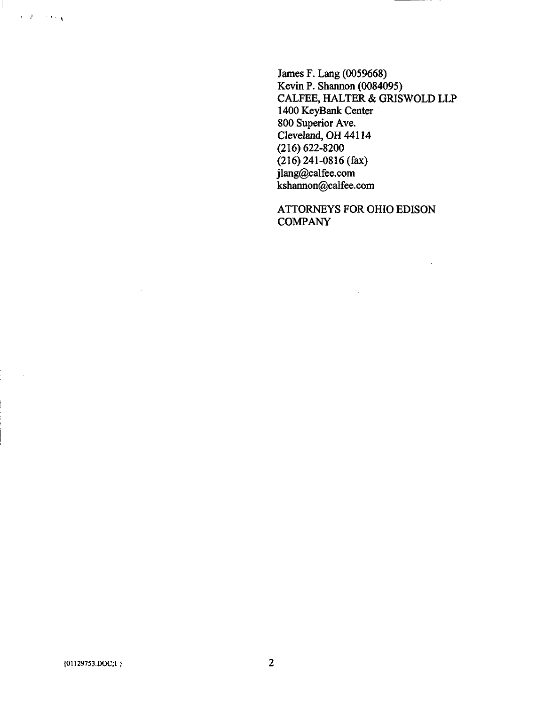James F. Lang (0059668) Kevin P. Shannon (0084095) CALFEE, HALTER & GRISWOLD LLP 1400 KeyBank Center 800 Superior Ave. Cleveland, OH 44114 (216) 622-8200 (216) 241-0816 (fax) [jlang@calfee.com](mailto:jlang@calfee.com)  [kshannon@calfee.com](mailto:kshannon@calfee.com) 

ATTORNEYS FOR OHIO EDISON **COMPANY** 

 $\sim$ 

 $\epsilon$  ,  $\frac{1}{2}$  , and  $\epsilon$  ,  $\frac{1}{2}$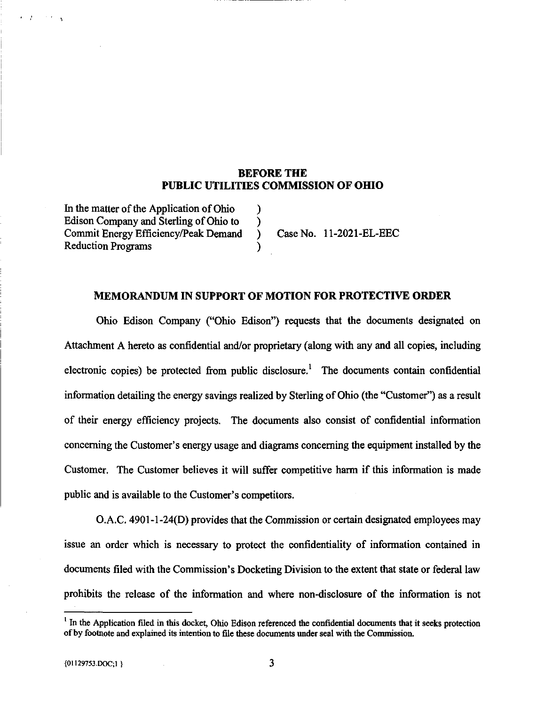## BEFORE THE PUBLIC UTILITIES COMMISSION OF OHIO

In the matter of the Application of Ohio ) Edison Company and Sterling of Ohio to  $\qquad$ ) Commit Energy Efficiency/Peak Demand ) Case No. 11-2021-EL-EEC Reduction Programs )

**CALLER** 

#### MEMORANDUM IN SUPPORT OF MOTION FOR PROTECTIVE ORDER

Ohio Edison Company ("Ohio Edison") requests that the documents designated on Attachment A hereto as confidential and/or proprietary (along with any and all copies, including electronic copies) be protected from public disclosure.' The documents contain confidential information detailing the energy savings realized by Sterling of Ohio (the "Customer") as a result of their energy efficiency projects. The documents also consist of confidential information concerning the Customer's energy usage and diagrams concerning the equipment installed by the Customer. The Customer beheves it will suffer competitive harm if this information is made public and is available to the Customer's competitors.

O.A.C. 4901-1-24(D) provides that the Commission or certain designated employees may issue an order which is necessary to protect the confidentiality of information contained in documents filed with the Commission's Docketing Division to the extent that state or federal law prohibits the release of the information and where non-disclosure of the information is not

 $<sup>1</sup>$  In the Application filed in this docket, Ohio Edison referenced the confidential documents that it seeks protection</sup> of by footnote and explained its intention to file these documents xmder seal with the Commission.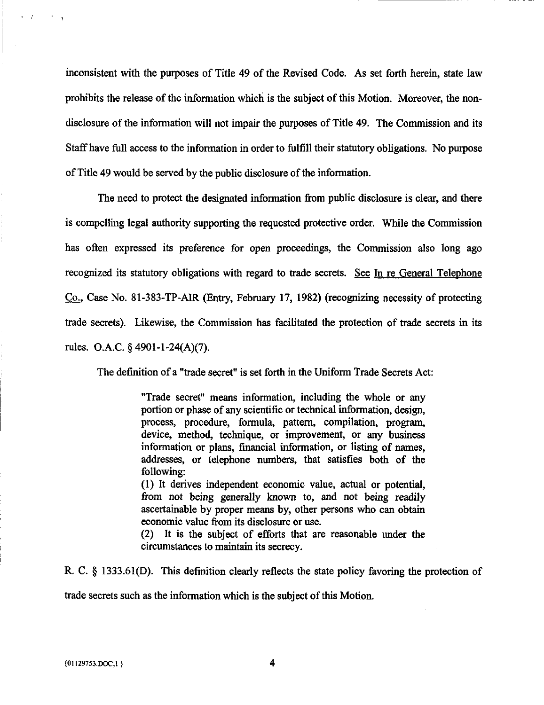inconsistent with the purposes of Title 49 of the Revised Code. As set forth herein, state law prohibits the release of the information which is the subject of this Motion. Moreover, the nondisclosure of the information will not impair the purposes of Title 49. The Commission and its Staff have full access to the information in order to fulfill their statutory obhgations. No purpose of Title 49 would be served by the public disclosure of the information.

The need to protect the designated information from public disclosure is clear, and there is compelling legal authority supporting the requested protective order. While the Commission has often expressed its preference for open proceedings, the Commission also long ago recognized its statutory obligations with regard to trade secrets. See In re General Telephone Co.. Case No. 81-383-TP-AIR (Entry, February 17, 1982) (recognizing necessity of protecting trade secrets). Likewise, the Commission has facilitated the protection of trade secrets in its rules. O.A.C. § 4901-1-24(A)(7).

The definition of a "trade secret" is set forth in the Uniform Trade Secrets Act:

"Trade secret" means information, including the whole or any portion or phase of any scientific or technical information, design, process, procedure, formula, pattern, compilation, program, device, method, technique, or improvement, or any business information or plans, financial information, or listing of names, addresses, or telephone numbers, that satisfies both of the following:

(1) It derives independent economic value, actual or potential, from not being generally known to, and not being readily ascertainable by proper means by, other persons who can obtain economic value from its disclosure or use.

(2) It is the subject of efforts that are reasonable imder the circumstances to maintain its secrecy.

R. C. § 1333.61(D). This definition clearly reflects the state policy favoring the protection of trade secrets such as the information which is the subject of this Motion.

 $\mathbf{r} = \mathbf{r}^T$  ,  $\mathbf{r} = \mathbf{r}$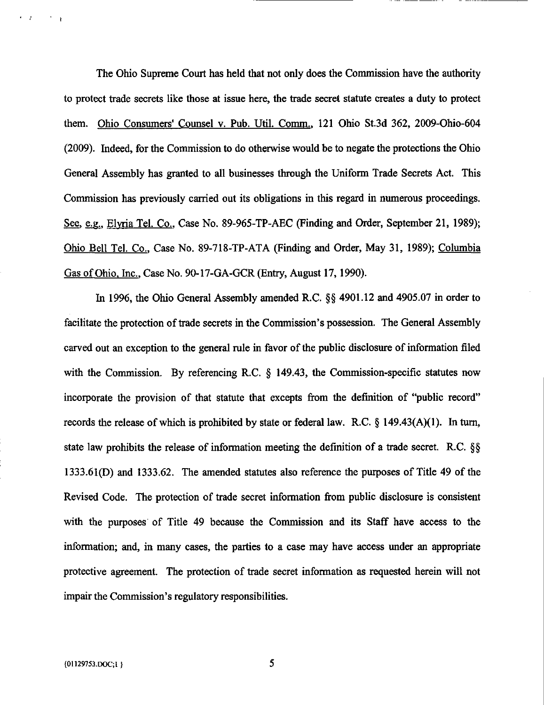The Ohio Supreme Court has held that not only does the Commission have the authority to protect frade secrets like those at issue here, the frade secret statute creates a duty to protect them. Ohio Consumers' Counsel v. Pub. Util. Comm.. 121 Ohio St.3d 362, 2009-Ohio-604 (2009). Indeed, for the Commission to do otherwise would be to negate the protections the Ohio General Assembly has granted to all businesses through the Uniform Trade Secrets Act. This Commission has previously carried out its obligations in this regard in numerous proceedings. See, e.g., Elyria Tel. Co., Case No. 89-965-TP-AEC (Finding and Order, September 21, 1989); Ohio Bell Tel. Co.. Case No. 89-718-TP-ATA (Finding and Order, May 31, 1989); Columbia Gas of Ohio, Inc., Case No. 90-17-GA-GCR (Entry, August 17, 1990).

In 1996, the Ohio General Assembly amended R.C. §§ 4901.12 and 4905.07 in order to facihtate the protection of frade secrets in the Commission's possession. The General Assembly carved out an exception to the general rule in favor of the public disclosure of information filed with the Commission. By referencing R.C. § 149.43, the Commission-specific statutes now incorporate the provision of that statute that excepts from the definition of "public record" records the release of which is prohibited by state or federal law. R.C. § 149.43(A)(1). In turn, state law prohibits the release of information meeting the definition of a frade secret. R.C. §§ 1333.61(D) and 1333.62. The amended statutes also reference the purposes of Title 49 of the Revised Code. The protection of trade secret information from public disclosure is consistent with the purposes of Title 49 because the Commission and its Staff have access to the information; and, in many cases, the parties to a case may have access under an appropriate protective agreement. The protection of frade secret information as requested herein will not impair the Commission's regulatory responsibihties.

 $\mathbf{r} = \mathbf{r}$ 

5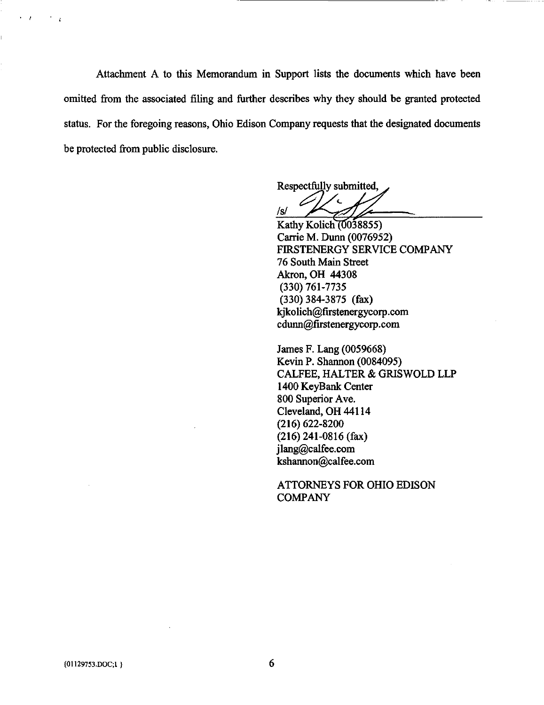Attachment A to this Memorandum in Support lists the documents which have been omitted from the associated filing and further describes why they should be granted protected status. For the foregoing reasons, Ohio Edison Company requests that the designated documents be protected from public disclosure.

Respectfully submitted /s/

Kathy Kolich (0038855) Carrie M. Dunn (0076952) FIRSTENERGY SERVICE COMPANY 76 South Main Sfreet Akron, OH 44308 (330) 761-7735 (330)384-3875 (fax) [kjkolich@firstenergycorp.com](mailto:kjkolich@firstenergycorp.com)  [cdunn@firstenergycorp.com](mailto:cdunn@firstenergycorp.com) 

James F. Lang (0059668) Kevin P. Shannon (0084095) CALFEE, HALTER & GRISWOLD LLP 1400 KeyBank Center 800 Superior Ave. Cleveland, OH 44114 (216) 622-8200 (216) 241-0816 (fax) [jlang@calfee.com](mailto:jlang@calfee.com)  [kshannon@calfee.com](mailto:kshannon@calfee.com) 

ATTORNEYS FOR OHIO EDISON COMPANY

 $\overline{ }$ 

 $\rightarrow$